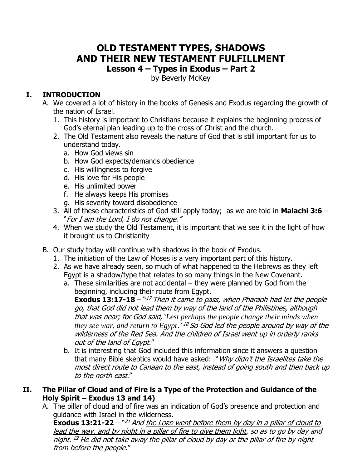## **OLD TESTAMENT TYPES, SHADOWS AND THEIR NEW TESTAMENT FULFILLMENT Lesson 4 – Types in Exodus – Part 2**

by Beverly McKey

## **I. INTRODUCTION**

- A. We covered a lot of history in the books of Genesis and Exodus regarding the growth of the nation of Israel.
	- 1. This history is important to Christians because it explains the beginning process of God's eternal plan leading up to the cross of Christ and the church.
	- 2. The Old Testament also reveals the nature of God that is still important for us to understand today.
		- a. How God views sin
		- b. How God expects/demands obedience
		- c. His willingness to forgive
		- d. His love for His people
		- e. His unlimited power
		- f. He always keeps His promises
		- g. His severity toward disobedience
	- 3. All of these characteristics of God still apply today; as we are told in **Malachi 3:6**  "For I am the Lord, I do not change."
	- 4. When we study the Old Testament, it is important that we see it in the light of how it brought us to Christianity
- B. Our study today will continue with shadows in the book of Exodus.
	- 1. The initiation of the Law of Moses is a very important part of this history.
	- 2. As we have already seen, so much of what happened to the Hebrews as they left Egypt is a shadow/type that relates to so many things in the New Covenant.
		- a. These similarities are not accidental they were planned by God from the beginning, including their route from Egypt.

**Exodus 13:17-18** – "<sup>17</sup> Then it came to pass, when Pharaoh had let the people go, that God did not lead them by way of the land of the Philistines, although that was near; for God said, '*Lest perhaps the people change their minds when they see war, and return to Egypt*.' <sup>18</sup> So God led the people around by way of the wilderness of the Red Sea. And the children of Israel went up in orderly ranks out of the land of Egypt."

b. It is interesting that God included this information since it answers a question that many Bible skeptics would have asked: "Why didn't the Israelites take the most direct route to Canaan to the east, instead of going south and then back up to the north east."

## **II. The Pillar of Cloud and of Fire is a Type of the Protection and Guidance of the Holy Spirit – Exodus 13 and 14)**

A. The pillar of cloud and of fire was an indication of God's presence and protection and guidance with Israel in the wilderness.

**Exodus 13:21-22** – "<sup>21</sup> And the Lorp went before them by day in a pillar of cloud to lead the way, and by night in a pillar of fire to give them light, so as to go by day and night. <sup>22</sup> He did not take away the pillar of cloud by day or the pillar of fire by night from before the people."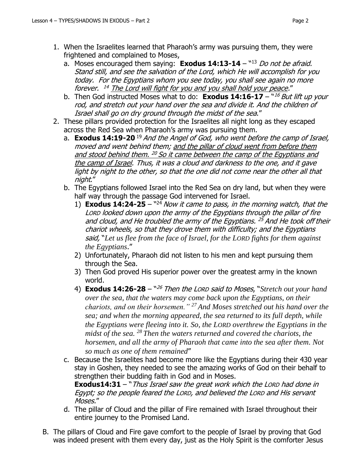- 1. When the Israelites learned that Pharaoh's army was pursuing them, they were frightened and complained to Moses,
	- a. Moses encouraged them saying: **Exodus 14:13-14** "13 *Do not be afraid.* Stand still, and see the salvation of the Lord, which He will accomplish for you today. For the Egyptians whom you see today, you shall see again no more forever. <sup>14</sup> The Lord will fight for you and you shall hold your peace."
	- b. Then God instructed Moses what to do: **Exodus 14:16-17** "16 But lift up your rod, and stretch out your hand over the sea and divide it. And the children of Israel shall go on dry ground through the midst of the sea."
- 2. These pillars provided protection for the Israelites all night long as they escaped across the Red Sea when Pharaoh's army was pursuing them.
	- a. **Exodus 14:19-20** <sup>19</sup> And the Angel of God, who went before the camp of Israel, moved and went behind them; and the pillar of cloud went from before them and stood behind them. <sup>20</sup> So it came between the camp of the Egyptians and the camp of Israel. Thus, it was a cloud and darkness to the one, and it gave light by night to the other, so that the one did not come near the other all that night."
	- b. The Egyptians followed Israel into the Red Sea on dry land, but when they were half way through the passage God intervened for Israel.
		- 1) **Exodus 14:24-25**  $^{42}$  Now it came to pass, in the morning watch, that the LORD looked down upon the army of the Egyptians through the pillar of fire and cloud, and He troubled the army of the Egyptians. <sup>25</sup> And He took off their chariot wheels, so that they drove them with difficulty; and the Egyptians said, "*Let us flee from the face of Israel, for the LORD fights for them against the Egyptians*."
		- 2) Unfortunately, Pharaoh did not listen to his men and kept pursuing them through the Sea.
		- 3) Then God proved His superior power over the greatest army in the known world.
		- 4) **Exodus 14:26-28** <sup>n26</sup> Then the LORD said to Moses, "Stretch out your hand *over the sea, that the waters may come back upon the Egyptians, on their chariots, and on their horsemen." <sup>27</sup> And Moses stretched out his hand over the sea; and when the morning appeared, the sea returned to its full depth, while the Egyptians were fleeing into it. So, the LORD overthrew the Egyptians in the midst of the sea. <sup>28</sup> Then the waters returned and covered the chariots, the horsemen, and all the army of Pharaoh that came into the sea after them. Not so much as one of them remained*"
	- c. Because the Israelites had become more like the Egyptians during their 430 year stay in Goshen, they needed to see the amazing works of God on their behalf to strengthen their budding faith in God and in Moses.

**Exodus14:31** – "Thus Israel saw the great work which the LORD had done in Egypt; so the people feared the LORD, and believed the LORD and His servant Moses."

- d. The pillar of Cloud and the pillar of Fire remained with Israel throughout their entire journey to the Promised Land.
- B. The pillars of Cloud and Fire gave comfort to the people of Israel by proving that God was indeed present with them every day, just as the Holy Spirit is the comforter Jesus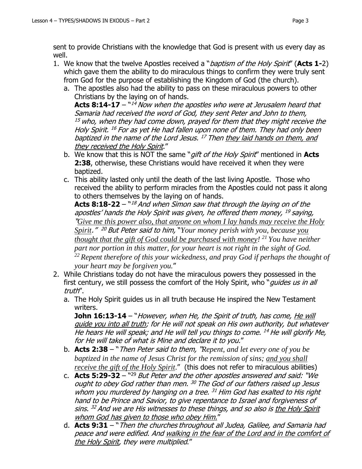- well. 1. We know that the twelve Apostles received a "baptism of the Holy Spirit" (**Acts 1-**2) which gave them the ability to do miraculous things to confirm they were truly sent from God for the purpose of establishing the Kingdom of God (the church).
	- a. The apostles also had the ability to pass on these miraculous powers to other Christians by the laying on of hands.

**Acts 8:14-17** – ``<sup>14</sup> Now when the apostles who were at Jerusalem heard that Samaria had received the word of God, they sent Peter and John to them,  $15$  who, when they had come down, prayed for them that they might receive the Holy Spirit. <sup>16</sup> For as yet He had fallen upon none of them. They had only been baptized in the name of the Lord Jesus. <sup>17</sup> Then <u>they laid hands on them, and</u> they received the Holy Spirit."

- b. We know that this is NOT the same "gift of the Holy Spirit" mentioned in **Acts 2:38**, otherwise, these Christians would have received it when they were baptized.
- c. This ability lasted only until the death of the last living Apostle. Those who received the ability to perform miracles from the Apostles could not pass it along to others themselves by the laying on of hands.

**Acts 8:18-22** – `*`<sup>18</sup> And when Simon saw that through the laying on of the* apostles' hands the Holy Spirit was given, he offered them money, <sup>19</sup> saying, "*Give me this power also, that anyone on whom I lay hands may receive the Holy Spirit*." <sup>20</sup> But Peter said to him, "*Your money perish with you, because you thought that the gift of God could be purchased with money! <sup>21</sup> You have neither part nor portion in this matter, for your heart is not right in the sight of God. <sup>22</sup> Repent therefore of this your wickedness, and pray God if perhaps the thought of your heart may be forgiven you.*"

- 2. While Christians today do not have the miraculous powers they possessed in the first century, we still possess the comfort of the Holy Spirit, who "*quides us in all* truth".
	- a. The Holy Spirit guides us in all truth because He inspired the New Testament writers.

**John 16:13-14** – "However, when He, the Spirit of truth, has come, He will guide you into all truth; for He will not speak on His own authority, but whatever He hears He will speak; and He will tell you things to come. <sup>14</sup> He will glorify Me, for He will take of what is Mine and declare it to you."

- b. **Acts 2:38**  "Then Peter said to them, "*Repent, and let every one of you be baptized in the name of Jesus Christ for the remission of sins; and you shall receive the gift of the Holy Spirit."* (this does not refer to miraculous abilities)
- c. **Acts 5:29-32** "<sup>29</sup> But Peter and the other apostles answered and said: "We ought to obey God rather than men. <sup>30</sup> The God of our fathers raised up Jesus whom you murdered by hanging on a tree. <sup>31</sup> Him God has exalted to His right hand to be Prince and Savior, to give repentance to Israel and forgiveness of sins. <sup>32</sup> And we are His witnesses to these things, and so also is <u>the Holy Spirit</u> whom God has given to those who obey Him."
- d. **Acts 9:31**  "Then the churches throughout all Judea, Galilee, and Samaria had peace and were edified. And walking in the fear of the Lord and in the comfort of the Holy Spirit, they were multiplied."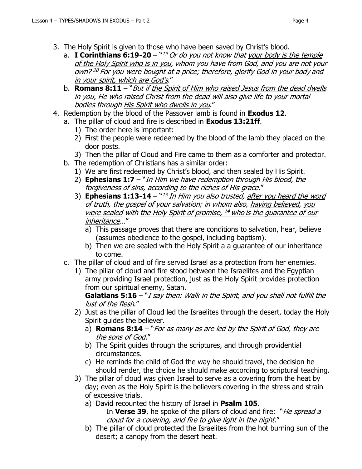- 3. The Holy Spirit is given to those who have been saved by Christ's blood.
	- a. I **Corinthians 6:19-20** ``<sup>19</sup> Or do you not know that <u>your body is the temple</u> of the Holy Spirit who is in you, whom you have from God, and you are not your own? <sup>20</sup> For you were bought at a price; therefore, <u>glorify God in your body and</u> in your spirit, which are God's."
	- b. **Romans 8:11** "But if the Spirit of Him who raised Jesus from the dead dwells in you, He who raised Christ from the dead will also give life to your mortal bodies through His Spirit who dwells in you."
- 4. Redemption by the blood of the Passover lamb is found in **Exodus 12**.
	- a. The pillar of cloud and fire is described in **Exodus 13:21ff**.
		- 1) The order here is important:
		- 2) First the people were redeemed by the blood of the lamb they placed on the door posts.
		- 3) Then the pillar of Cloud and Fire came to them as a comforter and protector.
	- b. The redemption of Christians has a similar order:
		- 1) We are first redeemed by Christ's blood, and then sealed by His Spirit.
		- 2) **Ephesians 1:7**  "In Him we have redemption through His blood, the forgiveness of sins, according to the riches of His grace."
		- 3) **Ephesians 1:13-14** <sup>w*13 In Him you also trusted, <u>after you heard the word</u>*</sup> of truth, the gospel of your salvation; in whom also, having believed, you were sealed with <u>the Holy Spirit of promise, <sup>14</sup> who is the guarantee of our</u> inheritance…"
			- a) This passage proves that there are conditions to salvation, hear, believe (assumes obedience to the gospel, including baptism).
			- b) Then we are sealed with the Holy Spirit a a guarantee of our inheritance to come.
	- c. The pillar of cloud and of fire served Israel as a protection from her enemies.
		- 1) The pillar of cloud and fire stood between the Israelites and the Egyptian army providing Israel protection, just as the Holy Spirit provides protection from our spiritual enemy, Satan.

**Galatians 5:16** – "*I say then: Walk in the Spirit, and you shall not fulfill the* lust of the flesh."

- 2) Just as the pillar of Cloud led the Israelites through the desert, today the Holy Spirit guides the believer.
	- a) **Romans 8:14** "For as many as are led by the Spirit of God, they are the sons of God."
	- b) The Spirit guides through the scriptures, and through providential circumstances.
	- c) He reminds the child of God the way he should travel, the decision he should render, the choice he should make according to scriptural teaching.
- 3) The pillar of cloud was given Israel to serve as a covering from the heat by day; even as the Holy Spirit is the believers covering in the stress and strain of excessive trials.
	- a) David recounted the history of Israel in **Psalm 105**. In **Verse 39**, he spoke of the pillars of cloud and fire: "*He spread a* cloud for a covering, and fire to give light in the night."
	- b) The pillar of cloud protected the Israelites from the hot burning sun of the desert; a canopy from the desert heat.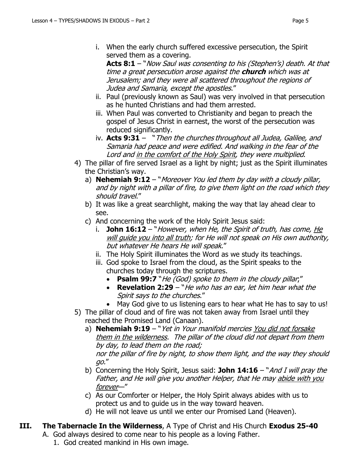i. When the early church suffered excessive persecution, the Spirit served them as a covering.

Acts 8:1 – "Now Saul was consenting to his (Stephen's) death. At that time a great persecution arose against the **church** which was at Jerusalem; and they were all scattered throughout the regions of Judea and Samaria, except the apostles."

- ii. Paul (previously known as Saul) was very involved in that persecution as he hunted Christians and had them arrested.
- iii. When Paul was converted to Christianity and began to preach the gospel of Jesus Christ in earnest, the worst of the persecution was reduced significantly.
- iv. **Acts 9:31** "Then the churches throughout all Judea, Galilee, and Samaria had peace and were edified. And walking in the fear of the Lord and in the comfort of the Holy Spirit, they were multiplied.
- 4) The pillar of fire served Israel as a light by night; just as the Spirit illuminates the Christian's way.
	- a) **Nehemiah 9:12** "Moreover You led them by day with a cloudy pillar, and by night with a pillar of fire, to give them light on the road which they should travel."
	- b) It was like a great searchlight, making the way that lay ahead clear to see.
	- c) And concerning the work of the Holy Spirit Jesus said:
		- i. **John 16:12**  "However, when He, the Spirit of truth, has come, He will guide you into all truth; for He will not speak on His own authority, but whatever He hears He will speak."
		- ii. The Holy Spirit illuminates the Word as we study its teachings.
		- iii. God spoke to Israel from the cloud, as the Spirit speaks to the churches today through the scriptures.
			- **Psalm 99:7** "He (God) spoke to them in the cloudy pillar;"
			- **Revelation 2:29** "He who has an ear, let him hear what the Spirit says to the churches."
			- May God give to us listening ears to hear what He has to say to us!
- 5) The pillar of cloud and of fire was not taken away from Israel until they reached the Promised Land (Canaan).
	- a) **Nehemiah 9:19** "Yet in Your manifold mercies You did not forsake them in the wilderness. The pillar of the cloud did not depart from them by day, to lead them on the road; nor the pillar of fire by night, to show them light, and the way they should go."
	- b) Concerning the Holy Spirit, Jesus said: **John 14:16** "And I will pray the Father, and He will give you another Helper, that He may abide with you forever—"
	- c) As our Comforter or Helper, the Holy Spirit always abides with us to protect us and to guide us in the way toward heaven.
	- d) He will not leave us until we enter our Promised Land (Heaven).
- **III. The Tabernacle In the Wilderness**, A Type of Christ and His Church **Exodus 25-40** A. God always desired to come near to his people as a loving Father.
	- 1. God created mankind in His own image.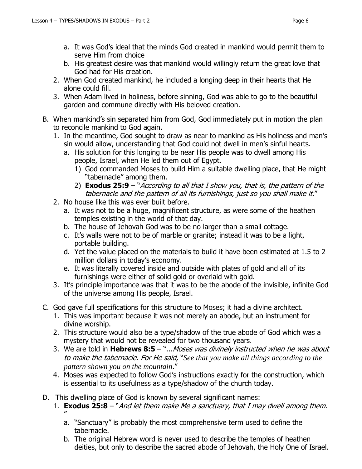- a. It was God's ideal that the minds God created in mankind would permit them to serve Him from choice
- b. His greatest desire was that mankind would willingly return the great love that God had for His creation.
- 2. When God created mankind, he included a longing deep in their hearts that He alone could fill.
- 3. When Adam lived in holiness, before sinning, God was able to go to the beautiful garden and commune directly with His beloved creation.
- B. When mankind's sin separated him from God, God immediately put in motion the plan to reconcile mankind to God again.
	- 1. In the meantime, God sought to draw as near to mankind as His holiness and man's sin would allow, understanding that God could not dwell in men's sinful hearts.
		- a. His solution for this longing to be near His people was to dwell among His people, Israel, when He led them out of Egypt.
			- 1) God commanded Moses to build Him a suitable dwelling place, that He might "tabernacle" among them.
			- 2) **Exodus 25:9** "According to all that I show you, that is, the pattern of the tabernacle and the pattern of all its furnishings, just so you shall make it."
	- 2. No house like this was ever built before.
		- a. It was not to be a huge, magnificent structure, as were some of the heathen temples existing in the world of that day.
		- b. The house of Jehovah God was to be no larger than a small cottage.
		- c. It's walls were not to be of marble or granite; instead it was to be a light, portable building.
		- d. Yet the value placed on the materials to build it have been estimated at 1.5 to 2 million dollars in today's economy.
		- e. It was literally covered inside and outside with plates of gold and all of its furnishings were either of solid gold or overlaid with gold.
	- 3. It's principle importance was that it was to be the abode of the invisible, infinite God of the universe among His people, Israel.
- C. God gave full specifications for this structure to Moses; it had a divine architect.
	- 1. This was important because it was not merely an abode, but an instrument for divine worship.
	- 2. This structure would also be a type/shadow of the true abode of God which was a mystery that would not be revealed for two thousand years.
	- 3. We are told in **Hebrews 8:5**  "...Moses was divinely instructed when he was about to make the tabernacle. For He said, "*See that you make all things according to the pattern shown you on the mountain*."
	- 4. Moses was expected to follow God's instructions exactly for the construction, which is essential to its usefulness as a type/shadow of the church today.
- D. This dwelling place of God is known by several significant names:
	- 1. **Exodus 25:8**  "And let them make Me a sanctuary, that I may dwell among them. "
		- a. "Sanctuary" is probably the most comprehensive term used to define the tabernacle.
		- b. The original Hebrew word is never used to describe the temples of heathen deities, but only to describe the sacred abode of Jehovah, the Holy One of Israel.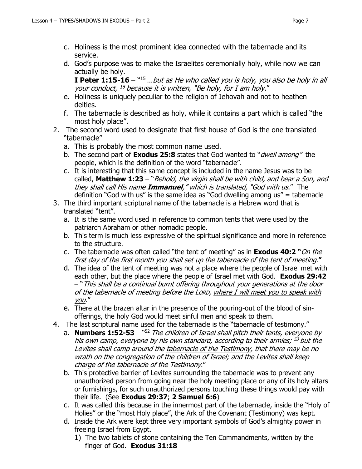- c. Holiness is the most prominent idea connected with the tabernacle and its service.
- d. God's purpose was to make the Israelites ceremonially holy, while now we can actually be holy.

**I Peter 1:15-16** – "<sup>15</sup> ...but as He who called you is holy, you also be holy in all your conduct, <sup>16</sup> because it is written, "Be holy, for I am holy."

- e. Holiness is uniquely peculiar to the religion of Jehovah and not to heathen deities.
- f. The tabernacle is described as holy, while it contains a part which is called "the most holy place".
- 2. The second word used to designate that first house of God is the one translated "tabernacle"
	- a. This is probably the most common name used.
	- b. The second part of **Exodus 25:8** states that God wanted to "dwell among" the people, which is the definition of the word "tabernacle".
	- c. It is interesting that this same concept is included in the name Jesus was to be called, **Matthew 1:23** – "Behold, the virgin shall be with child, and bear a Son, and they shall call His name **Immanuel**," which is translated, "God with us." The definition "God with us" is the same idea as "God dwelling among us" = tabernacle
- 3. The third important scriptural name of the tabernacle is a Hebrew word that is translated "tent".
	- a. It is the same word used in reference to common tents that were used by the patriarch Abraham or other nomadic people.
	- b. This term is much less expressive of the spiritual significance and more in reference to the structure.
	- c. The tabernacle was often called "the tent of meeting" as in **Exodus 40:2 "**On the first day of the first month you shall set up the tabernacle of the tent of meeting.**"**
	- d. The idea of the tent of meeting was not a place where the people of Israel met with each other, but the place where the people of Israel met with God. **Exodus 29:42**  – "This shall be a continual burnt offering throughout your generations at the door of the tabernacle of meeting before the LORD, where I will meet you to speak with you."
	- e. There at the brazen altar in the presence of the pouring-out of the blood of sinofferings, the holy God would meet sinful men and speak to them.
- 4. The last scriptural name used for the tabernacle is the "tabernacle of testimony."
	- a. **Numbers 1:52-53** <sup>n52</sup> The children of Israel shall pitch their tents, everyone by his own camp, everyone by his own standard, according to their armies; <sup>53</sup> but the Levites shall camp around the tabernacle of the Testimony, that there may be no wrath on the congregation of the children of Israel; and the Levites shall keep charge of the tabernacle of the Testimony."
	- b. This protective barrier of Levites surrounding the tabernacle was to prevent any unauthorized person from going near the holy meeting place or any of its holy altars or furnishings, for such unauthorized persons touching these things would pay with their life. (See **Exodus 29:37**; **2 Samuel 6:6**)
	- c. It was called this because in the innermost part of the tabernacle, inside the "Holy of Holies" or the "most Holy place", the Ark of the Covenant (Testimony) was kept.
	- d. Inside the Ark were kept three very important symbols of God's almighty power in freeing Israel from Egypt.
		- 1) The two tablets of stone containing the Ten Commandments, written by the finger of God. **Exodus 31:18**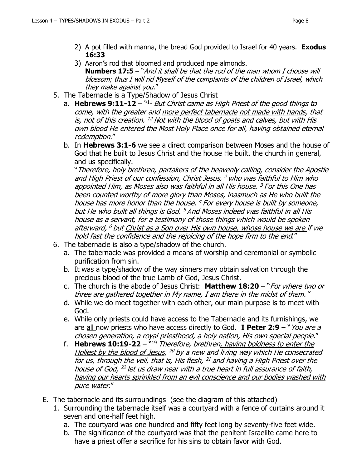- 2) A pot filled with manna, the bread God provided to Israel for 40 years. **Exodus 16:33**
- 3) Aaron's rod that bloomed and produced ripe almonds. **Numbers 17:5** – "And it shall be that the rod of the man whom I choose will blossom; thus I will rid Myself of the complaints of the children of Israel, which they make against you."
- 5. The Tabernacle is a Type/Shadow of Jesus Christ
	- a. Hebrews 9:11-12 "<sup>11</sup> But Christ came as High Priest of the good things to come, with the greater and more perfect tabernacle not made with hands, that is, not of this creation. <sup>12</sup> Not with the blood of goats and calves, but with His own blood He entered the Most Holy Place once for all, having obtained eternal redemption."
	- b. In **Hebrews 3:1-6** we see a direct comparison between Moses and the house of God that he built to Jesus Christ and the house He built, the church in general, and us specifically.

"Therefore, holy brethren, partakers of the heavenly calling, consider the Apostle and High Priest of our confession, Christ Jesus, <sup>2</sup> who was faithful to Him who appointed Him, as Moses also was faithful in all His house. <sup>3</sup> For this One has been counted worthy of more glory than Moses, inasmuch as He who built the house has more honor than the house. <sup>4</sup> For every house is built by someone, but He who built all things is God. <sup>5</sup> And Moses indeed was faithful in all His house as a servant, for a testimony of those things which would be spoken afterward, <sup>6</sup> but <u>Christ as a Son over His own house, whose house we are i</u>f we hold fast the confidence and the rejoicing of the hope firm to the end."

- 6. The tabernacle is also a type/shadow of the church.
	- a. The tabernacle was provided a means of worship and ceremonial or symbolic purification from sin.
	- b. It was a type/shadow of the way sinners may obtain salvation through the precious blood of the true Lamb of God, Jesus Christ.
	- c. The church is the abode of Jesus Christ: **Matthew 18:20**  "For where two or three are gathered together in My name, I am there in the midst of them."
	- d. While we do meet together with each other, our main purpose is to meet with God.
	- e. While only priests could have access to the Tabernacle and its furnishings, we are all now priests who have access directly to God. **I Peter 2:9** – "You are a chosen generation, a royal priesthood, a holy nation, His own special people."
	- f. **Hebrews 10:19-22**  " <sup>19</sup> Therefore, brethren, having boldness to enter the Holiest by the blood of Jesus, <sup>20</sup> by a new and living way which He consecrated for us, through the veil, that is, His flesh, <sup>21</sup> and having a High Priest over the house of God, <sup>22</sup> let us draw near with a true heart in full assurance of faith, having our hearts sprinkled from an evil conscience and our bodies washed with pure water."
- E. The tabernacle and its surroundings (see the diagram of this attached)
	- 1. Surrounding the tabernacle itself was a courtyard with a fence of curtains around it seven and one-half feet high.
		- a. The courtyard was one hundred and fifty feet long by seventy-five feet wide.
		- b. The significance of the courtyard was that the penitent Israelite came here to have a priest offer a sacrifice for his sins to obtain favor with God.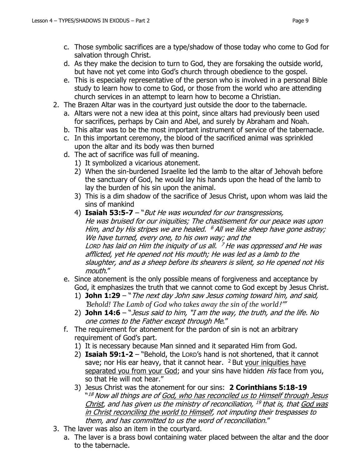- c. Those symbolic sacrifices are a type/shadow of those today who come to God for salvation through Christ.
- d. As they make the decision to turn to God, they are forsaking the outside world, but have not yet come into God's church through obedience to the gospel.
- e. This is especially representative of the person who is involved in a personal Bible study to learn how to come to God, or those from the world who are attending church services in an attempt to learn how to become a Christian.
- 2. The Brazen Altar was in the courtyard just outside the door to the tabernacle.
	- a. Altars were not a new idea at this point, since altars had previously been used for sacrifices, perhaps by Cain and Abel, and surely by Abraham and Noah.
	- b. This altar was to be the most important instrument of service of the tabernacle.
	- c. In this important ceremony, the blood of the sacrificed animal was sprinkled upon the altar and its body was then burned
	- d. The act of sacrifice was full of meaning.
		- 1) It symbolized a vicarious atonement.
		- 2) When the sin-burdened Israelite led the lamb to the altar of Jehovah before the sanctuary of God, he would lay his hands upon the head of the lamb to lay the burden of his sin upon the animal.
		- 3) This is a dim shadow of the sacrifice of Jesus Christ, upon whom was laid the sins of mankind
		- 4) **Isaiah 53:5-7** "But He was wounded for our transgressions, He was bruised for our iniquities; The chastisement for our peace was upon Him, and by His stripes we are healed. <sup>6</sup> All we like sheep have gone astray; We have turned, every one, to his own way; and the Lorp has laid on Him the iniquity of us all. <sup>7</sup> He was oppressed and He was afflicted, yet He opened not His mouth; He was led as a lamb to the slaughter, and as a sheep before its shearers is silent, so He opened not His mouth."
	- e. Since atonement is the only possible means of forgiveness and acceptance by God, it emphasizes the truth that we cannot come to God except by Jesus Christ.
		- 1) **John 1:29**  "The next day John saw Jesus coming toward him, and said, '*Behold! The Lamb of God who takes away the sin of the world*!'"
		- 2) **John 14:6**  "Jesus said to him, "I am the way, the truth, and the life. No one comes to the Father except through Me."
	- f. The requirement for atonement for the pardon of sin is not an arbitrary requirement of God's part.
		- 1) It is necessary because Man sinned and it separated Him from God.
		- 2) **Isaiah 59:1-2**  "Behold, the LORD's hand is not shortened, that it cannot save; nor His ear heavy, that it cannot hear.  $2$  But your iniquities have separated you from your God; and your sins have hidden His face from you, so that He will not hear."
		- 3) Jesus Christ was the atonement for our sins: **2 Corinthians 5:18-19**  $^{\mathrm{w}18}$  Now all things are of <u>God, who has reconciled us to Himself through Jesus</u> Christ, and has given us the ministry of reconciliation, <sup>19</sup> that is, that God was in Christ reconciling the world to Himself, not imputing their trespasses to them, and has committed to us the word of reconciliation."
- 3. The laver was also an item in the courtyard.
	- a. The laver is a brass bowl containing water placed between the altar and the door to the tabernacle.